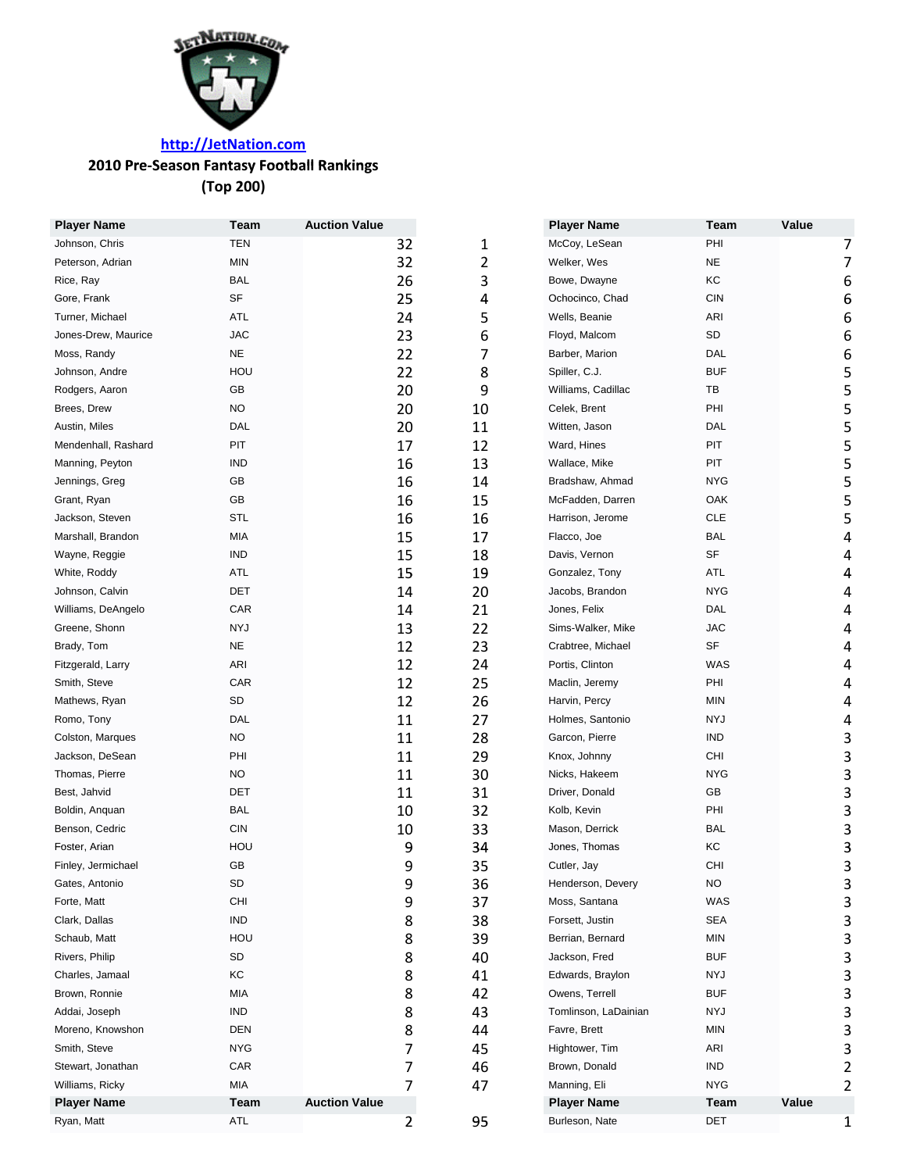

# **http://JetNation.com**

### **2010 Pre Season Fantasy Football Rankings ‐**

**(Top 200)**

| <b>Player Name</b>  | Team       | <b>Auction Value</b> |    |    | <b>Player Name</b>   | Team        | Value            |   |
|---------------------|------------|----------------------|----|----|----------------------|-------------|------------------|---|
| Johnson, Chris      | <b>TEN</b> |                      | 32 | 1  | McCoy, LeSean        | PHI         | 7                |   |
| Peterson, Adrian    | <b>MIN</b> |                      | 32 | 2  | Welker, Wes          | <b>NE</b>   |                  | 7 |
| Rice, Ray           | <b>BAL</b> |                      | 26 | 3  | Bowe, Dwayne         | KC          | 6                |   |
| Gore, Frank         | SF         |                      | 25 | 4  | Ochocinco, Chad      | <b>CIN</b>  | $\boldsymbol{6}$ |   |
| Turner, Michael     | ATL        |                      | 24 | 5  | Wells, Beanie        | ARI         | 6                |   |
| Jones-Drew, Maurice | <b>JAC</b> |                      | 23 | 6  | Floyd, Malcom        | SD          | 6                |   |
| Moss, Randy         | $NE$       |                      | 22 | 7  | Barber, Marion       | DAL         | 6                |   |
| Johnson, Andre      | HOU        |                      | 22 | 8  | Spiller, C.J.        | <b>BUF</b>  | 5                |   |
| Rodgers, Aaron      | GB         |                      | 20 | 9  | Williams, Cadillac   | TB          | 5                |   |
| Brees, Drew         | NO.        |                      | 20 | 10 | Celek, Brent         | PHI         | 5                |   |
| Austin, Miles       | DAL        |                      | 20 | 11 | Witten, Jason        | DAL         | 5                |   |
| Mendenhall, Rashard | PIT        |                      | 17 | 12 | Ward, Hines          | PIT         | 5                |   |
| Manning, Peyton     | <b>IND</b> |                      | 16 | 13 | Wallace, Mike        | PIT         | 5                |   |
| Jennings, Greg      | GB         |                      | 16 | 14 | Bradshaw, Ahmad      | <b>NYG</b>  | 5                |   |
| Grant, Ryan         | GB         |                      | 16 | 15 | McFadden, Darren     | OAK         | 5                |   |
| Jackson, Steven     | <b>STL</b> |                      | 16 | 16 | Harrison, Jerome     | <b>CLE</b>  | 5                |   |
| Marshall, Brandon   | MIA        |                      | 15 | 17 | Flacco, Joe          | <b>BAL</b>  | 4                |   |
| Wayne, Reggie       | <b>IND</b> |                      | 15 | 18 | Davis, Vernon        | <b>SF</b>   | 4                |   |
| White, Roddy        | ATL        |                      | 15 | 19 | Gonzalez, Tony       | ATL         | 4                |   |
| Johnson, Calvin     | DET        |                      | 14 | 20 | Jacobs, Brandon      | <b>NYG</b>  |                  | 4 |
| Williams, DeAngelo  | CAR        |                      | 14 | 21 | Jones, Felix         | <b>DAL</b>  | 4                |   |
| Greene, Shonn       | <b>NYJ</b> |                      | 13 | 22 | Sims-Walker, Mike    | <b>JAC</b>  |                  | 4 |
| Brady, Tom          | <b>NE</b>  |                      | 12 | 23 | Crabtree, Michael    | SF          | 4                |   |
| Fitzgerald, Larry   | ARI        |                      | 12 | 24 | Portis, Clinton      | WAS         | 4                |   |
| Smith, Steve        | CAR        |                      | 12 | 25 | Maclin, Jeremy       | PHI         | 4                |   |
| Mathews, Ryan       | SD         |                      | 12 | 26 | Harvin, Percy        | <b>MIN</b>  | 4                |   |
| Romo, Tony          | DAL        |                      | 11 | 27 | Holmes, Santonio     | <b>NYJ</b>  | 4                |   |
| Colston, Marques    | NO.        |                      | 11 | 28 | Garcon, Pierre       | <b>IND</b>  | 3                |   |
| Jackson, DeSean     | PHI        |                      | 11 | 29 | Knox, Johnny         | <b>CHI</b>  | 3                |   |
| Thomas, Pierre      | NO.        |                      | 11 | 30 | Nicks, Hakeem        | <b>NYG</b>  | 3                |   |
| Best, Jahvid        | DET        |                      | 11 | 31 | Driver, Donald       | GB          | 3                |   |
| Boldin, Anguan      | <b>BAL</b> |                      | 10 | 32 | Kolb, Kevin          | PHI         | 3                |   |
| Benson, Cedric      | <b>CIN</b> |                      | 10 | 33 | Mason, Derrick       | <b>BAL</b>  | 3                |   |
| Foster, Arian       | HOU        |                      | 9  | 34 | Jones, Thomas        | KC          | 3                |   |
| Finley, Jermichael  | GB         |                      | 9  | 35 | Cutler, Jay          | CHI         | 3                |   |
| Gates, Antonio      | SD         |                      | 9  | 36 | Henderson, Devery    | <b>NO</b>   | 3                |   |
| Forte, Matt         | CHI        |                      | 9  | 37 | Moss, Santana        | WAS         | 3                |   |
| Clark, Dallas       | IND        |                      | 8  | 38 | Forsett, Justin      | <b>SEA</b>  | 3                |   |
| Schaub, Matt        | HOU        |                      | 8  | 39 | Berrian, Bernard     | MIN         | 3                |   |
| Rivers, Philip      | SD         |                      | 8  | 40 | Jackson, Fred        | <b>BUF</b>  | 3                |   |
| Charles, Jamaal     | КC         |                      | 8  | 41 | Edwards, Braylon     | NYJ         | 3                |   |
| Brown, Ronnie       | MIA        |                      | 8  | 42 | Owens, Terrell       | <b>BUF</b>  | 3                |   |
| Addai, Joseph       | IND        |                      | 8  | 43 | Tomlinson, LaDainian | NYJ         | 3                |   |
| Moreno, Knowshon    | DEN        |                      | 8  | 44 | Favre, Brett         | <b>MIN</b>  | 3                |   |
| Smith, Steve        | <b>NYG</b> |                      | 7  | 45 | Hightower, Tim       | ARI         | 3                |   |
| Stewart, Jonathan   | CAR        |                      | 7  | 46 | Brown, Donald        | <b>IND</b>  |                  | 2 |
| Williams, Ricky     | MIA        |                      | 7  | 47 | Manning, Eli         | <b>NYG</b>  |                  | 2 |
| <b>Player Name</b>  | Team       | <b>Auction Value</b> |    |    | <b>Player Name</b>   | <b>Team</b> | Value            |   |
| Ryan, Matt          | ATL        |                      | 2  | 95 | Burleson, Nate       | DET         |                  | 1 |
|                     |            |                      |    |    |                      |             |                  |   |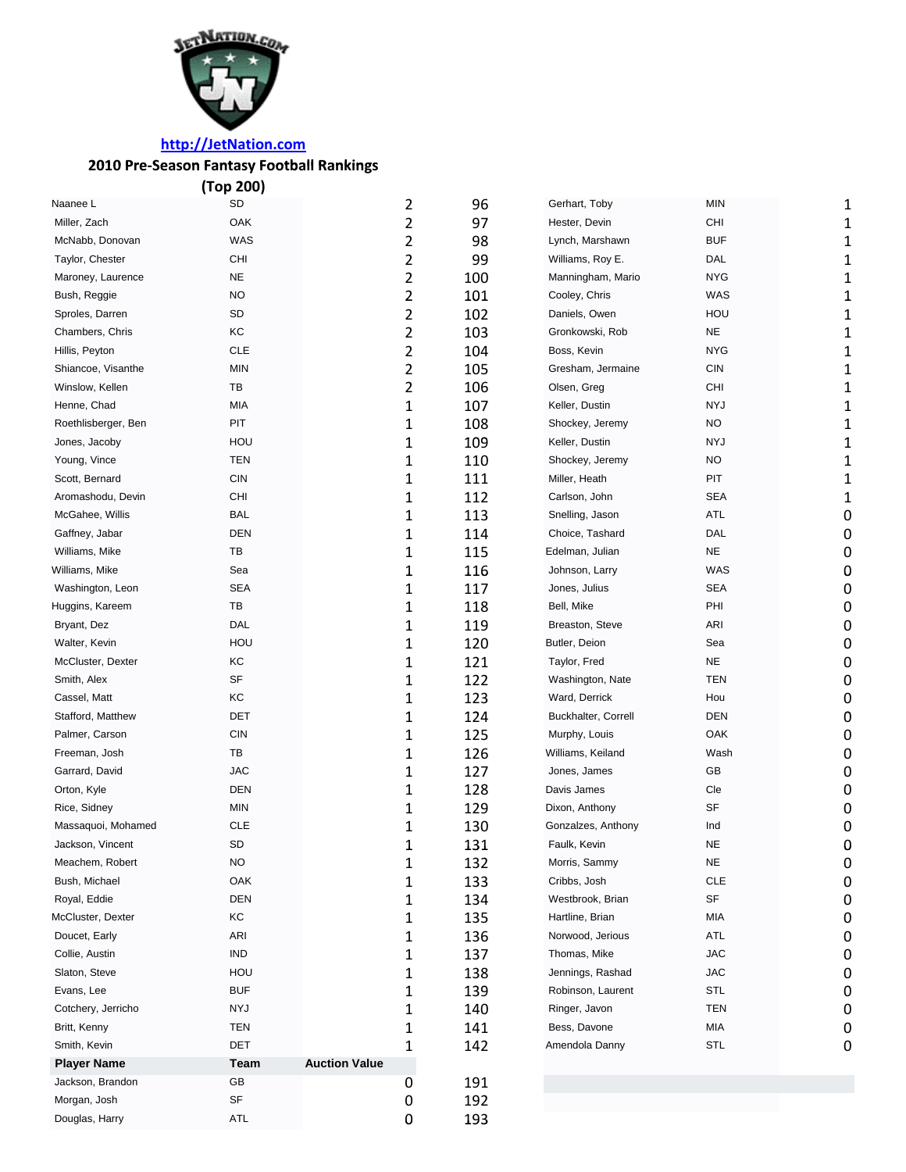

# **http://JetNation.com**

## **2010 Pre‐Season Fantasy Football Rankings ankings**

|                     | (Top 200)   |                      |                |     |                     |            |   |
|---------------------|-------------|----------------------|----------------|-----|---------------------|------------|---|
| Naanee L            | SD          |                      | 2              | 96  | Gerhart, Toby       | MIN        |   |
| Miller, Zach        | OAK         |                      | 2              | 97  | Hester, Devin       | CHI        | 1 |
| McNabb, Donovan     | <b>WAS</b>  |                      | 2              | 98  | Lynch, Marshawn     | <b>BUF</b> | 1 |
| Taylor, Chester     | CHI         |                      | 2              | 99  | Williams, Roy E.    | DAL        | 1 |
| Maroney, Laurence   | <b>NE</b>   |                      | 2              | 100 | Manningham, Mario   | <b>NYG</b> | 1 |
| Bush, Reggie        | <b>NO</b>   |                      | 2              | 101 | Cooley, Chris       | <b>WAS</b> | 1 |
| Sproles, Darren     | SD          |                      | 2              | 102 | Daniels, Owen       | HOU        | 1 |
| Chambers, Chris     | КC          |                      | $\overline{2}$ | 103 | Gronkowski, Rob     | <b>NE</b>  | 1 |
| Hillis, Peyton      | <b>CLE</b>  |                      | 2              | 104 | Boss, Kevin         | <b>NYG</b> | 1 |
| Shiancoe, Visanthe  | <b>MIN</b>  |                      | 2              | 105 | Gresham, Jermaine   | <b>CIN</b> | 1 |
| Winslow, Kellen     | TB          |                      | 2              | 106 | Olsen, Greg         | <b>CHI</b> |   |
| Henne, Chad         | МIА         |                      | $\mathbf 1$    | 107 | Keller, Dustin      | <b>NYJ</b> |   |
| Roethlisberger, Ben | PIT         |                      | 1              | 108 | Shockey, Jeremy     | NO         | 1 |
| Jones, Jacoby       | HOU         |                      | 1              | 109 | Keller, Dustin      | <b>NYJ</b> | 1 |
| Young, Vince        | <b>TEN</b>  |                      | 1              | 110 | Shockey, Jeremy     | <b>NO</b>  | 1 |
| Scott, Bernard      | <b>CIN</b>  |                      | 1              | 111 | Miller, Heath       | PIT        | 1 |
| Aromashodu, Devin   | CHI         |                      | 1              | 112 | Carlson, John       | <b>SEA</b> | 1 |
| McGahee, Willis     | <b>BAL</b>  |                      | 1              | 113 | Snelling, Jason     | <b>ATL</b> | 0 |
| Gaffney, Jabar      | <b>DEN</b>  |                      | 1              | 114 | Choice, Tashard     | <b>DAL</b> | 0 |
| Williams, Mike      | TB          |                      | 1              | 115 | Edelman, Julian     | <b>NE</b>  | 0 |
| Williams, Mike      | Sea         |                      | 1              | 116 | Johnson, Larry      | WAS        | 0 |
| Washington, Leon    | <b>SEA</b>  |                      | 1              | 117 | Jones, Julius       | <b>SEA</b> | 0 |
| Huggins, Kareem     | TB          |                      | 1              | 118 | Bell, Mike          | PHI        | 0 |
| Bryant, Dez         | DAL         |                      | 1              | 119 | Breaston, Steve     | ARI        | 0 |
| Walter, Kevin       | HOU         |                      | 1              | 120 | Butler, Deion       | Sea        | 0 |
| McCluster, Dexter   | KC          |                      | 1              | 121 | Taylor, Fred        | <b>NE</b>  | 0 |
| Smith, Alex         | SF          |                      | 1              | 122 | Washington, Nate    | <b>TEN</b> | 0 |
| Cassel, Matt        | KC          |                      | 1              | 123 | Ward, Derrick       | Hou        | 0 |
| Stafford, Matthew   | <b>DET</b>  |                      | 1              | 124 | Buckhalter, Correll | <b>DEN</b> | 0 |
| Palmer, Carson      | <b>CIN</b>  |                      | 1              | 125 | Murphy, Louis       | OAK        | 0 |
| Freeman, Josh       | TB          |                      | 1              | 126 | Williams, Keiland   | Wash       | 0 |
| Garrard, David      | <b>JAC</b>  |                      | 1              | 127 | Jones, James        | GB         | 0 |
| Orton, Kyle         | <b>DEN</b>  |                      | 1              | 128 | Davis James         | Cle        | 0 |
| Rice, Sidney        | <b>MIN</b>  |                      | 1              | 129 | Dixon, Anthony      | SF         | 0 |
| Massaquoi, Mohamed  | <b>CLE</b>  |                      | 1              | 130 | Gonzalzes, Anthony  | Ind        | 0 |
| Jackson, Vincent    | SD          |                      | 1              | 131 | Faulk, Kevin        | <b>NE</b>  | 0 |
| Meachem, Robert     | NO.         |                      | 1              | 132 | Morris, Sammy       | <b>NE</b>  | 0 |
| Bush, Michael       | OAK         |                      | 1              | 133 | Cribbs, Josh        | <b>CLE</b> | 0 |
| Royal, Eddie        | <b>DEN</b>  |                      | 1              | 134 | Westbrook, Brian    | SF         | 0 |
| McCluster, Dexter   | КC          |                      | 1              | 135 | Hartline, Brian     | MIA        | 0 |
| Doucet, Early       | ARI         |                      | 1              | 136 | Norwood, Jerious    | <b>ATL</b> | 0 |
| Collie, Austin      | <b>IND</b>  |                      | 1              | 137 | Thomas, Mike        | <b>JAC</b> | 0 |
| Slaton, Steve       | HOU         |                      | 1              | 138 | Jennings, Rashad    | <b>JAC</b> | 0 |
| Evans, Lee          | <b>BUF</b>  |                      | 1              | 139 | Robinson, Laurent   | STL        | 0 |
| Cotchery, Jerricho  | NYJ         |                      | 1              | 140 | Ringer, Javon       | <b>TEN</b> | 0 |
| Britt, Kenny        | TEN         |                      | 1              | 141 | Bess, Davone        | MIA        | 0 |
| Smith, Kevin        | DET         |                      | 1              | 142 | Amendola Danny      | STL        | 0 |
| <b>Player Name</b>  | <b>Team</b> | <b>Auction Value</b> |                |     |                     |            |   |
| Jackson, Brandon    | GB          |                      | 0              | 191 |                     |            |   |
| Morgan, Josh        | SF          |                      | 0              | 192 |                     |            |   |
| Douglas, Harry      | ATL         |                      | 0              | 193 |                     |            |   |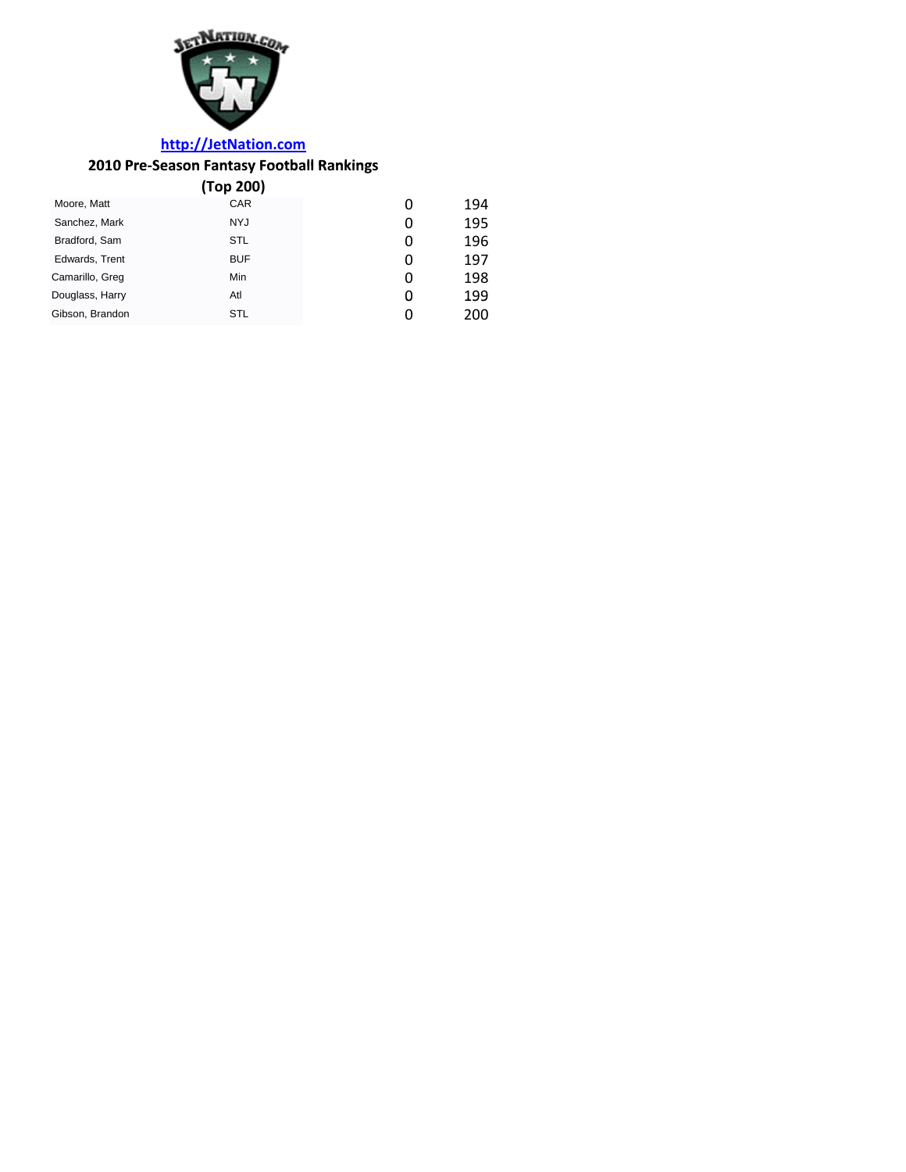

## **http://JetNation.com**

## **2010 Pre‐Season Fantasy Football Rankings ankings**

|                 | (Top 200)  |   |     |
|-----------------|------------|---|-----|
| Moore, Matt     | <b>CAR</b> | 0 | 194 |
| Sanchez, Mark   | <b>NYJ</b> | 0 | 195 |
| Bradford, Sam   | STL        | 0 | 196 |
| Edwards, Trent  | <b>BUF</b> | 0 | 197 |
| Camarillo, Greg | Min        | 0 | 198 |
| Douglass, Harry | Atl        | 0 | 199 |
| Gibson, Brandon | <b>STL</b> | O | 200 |
|                 |            |   |     |